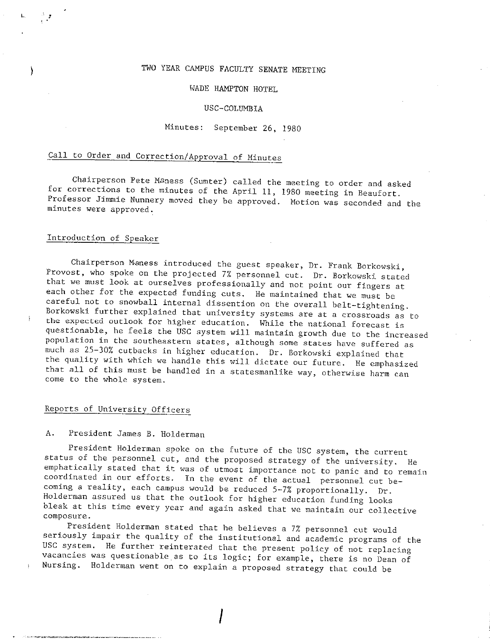## TWO YEAR CAMPUS FACULTY SENATE MEETING

#### WADE HAMPTON HOTEL

#### USC-COLUMBIA

#### Minutes: September 26, 1980

# Call to Order and Correction/Approval of Minutes

Chairperson Pete Maness (Sumter) called the meeting to order and asked<br>for corrections to the minutes of the April 11, 1980 meeting in Beaufort.<br>Professor Jimmie Nunnery moved they be approved. Motion was seconded and the<br>

### Introduction of Speaker

L *1* 

Chairperson Meness introduced the guest speaker, Dr. Frank Borkowski,<br>Provost, who spoke on the projected 7% personnel cut. Dr. Borkowski stated<br>that we must look at ourselves professionally and not point our fingers at<br>ea **come to the whole system.** 

#### Reports of University Officers

## A. President James B. Holderman

President Holderman spoke on the future of the USC system, the current<br>status of the personnel cut, and the proposed strategy of the university. He<br>emphatically stated that it was of utmost importance not to panic and to r

composure. President Holderman stated that he believes a 7% personnel cut would seriously impair the quality of the institutional and academic programs of the USC system. He further reinterated that the present policy of not replacing vacancies was questionable as to its logic; for example, there is n

I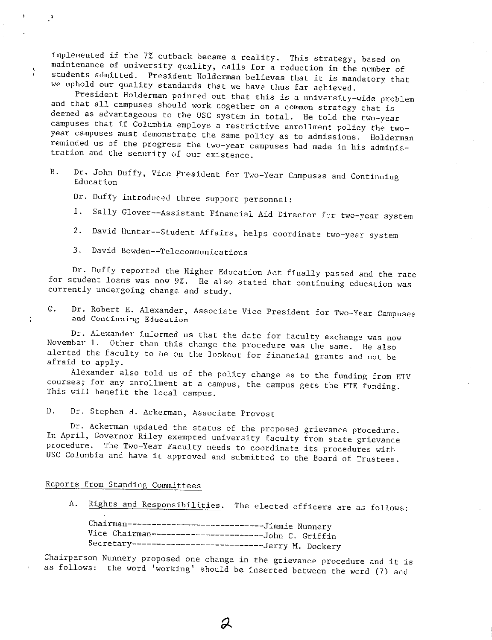implemented if the 7% cutback became a reality. This strategy, based on<br>maintenance of university quality, calls for a reduction in the number of<br>students admitted. President Holderman believes that it is mandatory that<br>we

and that all campuses should work together on a common strategy that is<br>deemed as advantageous to the USC system in total. He told the two-year<br>campuses that if Columbia employs a restrictive enrollment policy the two-<br>yea

B. Dr. John Duffy, Vice President for Two-Year Campuses and Continuing **Education** 

Dr. Duffy introduced three support personnel:

- 1. Sally Glover--Assistant Financial Aid Director for two-year system
- 2. David Hunter--Student Affairs, helps coordinate two-year system
- **3. David Bowden--Telecommunications**

 $\mathcal{F}$ 

ì

Dr. Duffy reported the Higher Education Act finally passed and the rate<br>for student loans was now 9%. He also stated that continuing education was<br>currently undergoing change and study.

**C. Dr. Robert E. Alexander, Associate Vice President for Two-Year Campuses** and Continuing Education

Dr. Alexander informed us that the date for faculty exchange was now<br>November 1. Other than this change the procedure was the same. He also<br>alerted the faculty to be on the lookout for financial grants and not be<br>afraid to

courses; for any enrollment at a campus, the campus gets the FTE funding.<br>This will benefit the local campus.

D. Dr. Stephen H. Ackerman, Associate Provost

Dr. Ackerman updated the status of the proposed grievance procedure.<br>In April, Governor Riley exempted university faculty from state grievance<br>procedure. The Two-Year Faculty needs to coordinate its procedures with<br>USC-Col

Reports from Standing Committees

A. Rights and Responsibilities. The elected officers are as follows:

Chairman-----------------------------Jimmie Nunnery<br>Vice Chairman----------------------John C. Griffin Secretary---------------------------Jerry M. Dockery

Chairperson Nunnery proposed one change in the grievance procedure and it is as follows: **Nunnery proposed one change in the grievance procedure and it is** the word 'working' should be inserted between the word (7) and

Д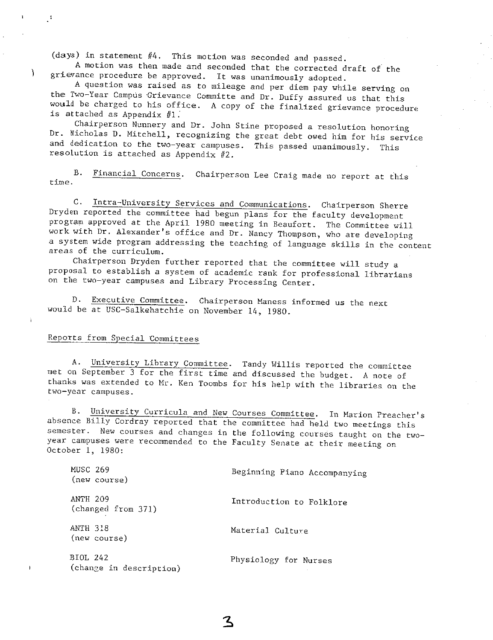(days) in statement  $#4$ . This motion was seconded and passed.<br>A motion was then made and seconded that the corrected draft of the<br>grievance procedure be approved. It was unanimously adopted.<br>A question was raised as to m

Dr. Nicholas D. Mitchell, recognizing the great debt owed him for his service<br>and dedication to the two-year campuses. This passed unanimously. This<br>resolution is attached as Appendix  $#2$ .

**B. Financial Concerns. Chairperson Lee Craig made no report at t.his time.** 

C. Intra-University Services and Communications. Chairperson Sherre<br>Dryden reported the committee had begun plans for the faculty development<br>program approved at the April 1980 meeting in Beaufort. The Committee will<br>work

areas of the curriculum.<br>Chairperson Dryden further reported that the committee will study a proposal to establish a system of academic rank for professional librarians **on the two-year campuses and Library Processing Center.** 

**D. Executive Committee. Chairperson Maness informed us the next** would be at USC-Salkehatchie on November 14, 1980.

## Reports from Special Committees

 $\mathcal{L}$ 

A. University Library Committee. Tandy Willis reported the committee met on September 3 for the first time and discussed the budget. A note of thanks was extended to Mr. Ken Toombs for his help with the libraries on the tw

B. University Curricula and New Courses Committee. In Marion Preacher's absence Billy Cordray reported that the committee had held two meetings this semester. New courses and changes in the following courses taught on the

| MUSC 269<br>(new course)              | Beginning Piano Accompanying |
|---------------------------------------|------------------------------|
| <b>ANTH 209</b><br>(changed from 371) | Introduction to Folklore     |
| ANTH 318<br>(new course)              | Material Culture             |
| BIOL 242<br>(change in description)   | Physiology for Nurses        |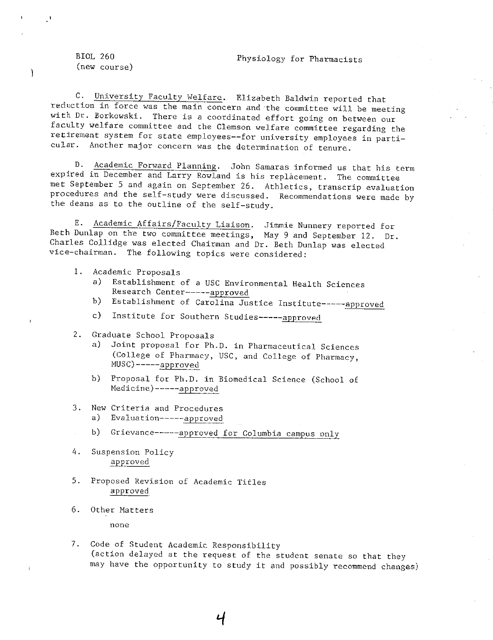#### Physiology for Pharmacists

BIOL 260 (new course)

C. University Faculty Welfare. Elizabeth Baldwin reported that<br>reduction in force was the main concern and the committee will be meeting<br>with Dr. Borkowski. There is a coordinated effort going on between our<br>faculty welfar

D. Academic Forward Planning. John Samaras informed us that his term expired in December and Larry Rowland is his replacement. The committee met September 5 and again on September 26. Athletics, transcrip evaluation procedures and the self-study were discussed. Recommendations were made by the deans as to the outline of the self-study.

E. Academic Affairs/Faculty Liaison. Jimmie Nunnery reported for<br>Beth Dunlap on the two committee meetings, May 9 and September 12. Dr.<br>Charles Collidge was elected Chairman and Dr. Beth Dunlap was elected<br>vice-chairman. T

- 1. Academic Proposals
	- a) Establishment of a USC Environmental Health Sciences Research Center-----approved
	- b) Establishment of Carolina Justice Institute------approved
	- c) Institute for Southern Studies-----approved
- 2. Graduate School Proposals
	- a) Joint proposal for Ph.D. in Pharmaceutical Sciences (College of Pharmacy, USC, and College of Pharmacy, MUSC)-----approved
	- b) Proposal for Ph.D. in Biomedical Science (School of Medicine)-----approved
- **3. New Criteria and Procedures** 
	- a) Evaluation-----approved
	- b) Grievance-----approved for Columbia campus only
- 4. Suspension Policy approved
- 5. Proposed Revision of Academic Titles approved
- 6. Other Hatters

**none** 

7. Code of Student Academic Responsibility (action delayed at the request of the student senate so that they may have the opportunity to study it and possibly recommend changes)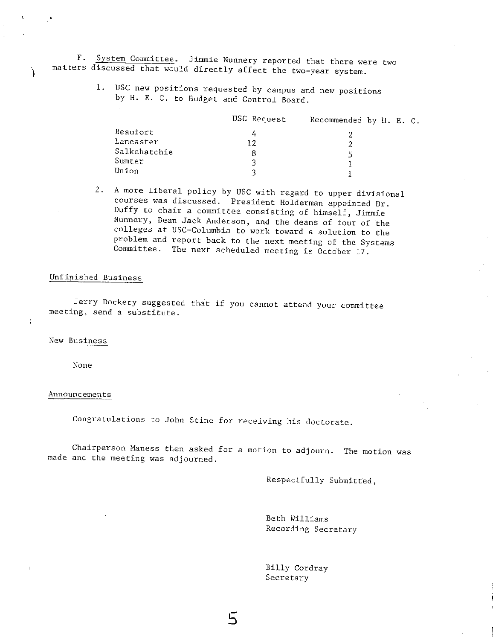**F. System Committee. Jimmie Nunnery reported that there were two** matters discussed that would directly affect the two-year system.

1. USC new positions requested by campus and new positions by H. E. C. to Budget and Control Board.

|              | USC Request | Recommended by H. E. C. |
|--------------|-------------|-------------------------|
| Beaufort     | 4           |                         |
| Lancaster    | 12          |                         |
| Salkehatchie | 8           |                         |
| Sumter       | વ           |                         |
| Union        | ર           |                         |

2. A more liberal policy by USC with regard to upper divisional courses was discussed. President Holderman appointed Dr. Duffy to chair a committee consisting of himself, Jimmie Nunnery, Dean Jack Anderson, and the deans of four of the colleges at USC-Columbia to work toward a solution to the problem and report back to the next meeting of th

#### Unfinished Business

Jerry Dockery suggested that if you cannot attend your committee **meeting, send a substitute.** 

**New Business** 

 $\mathfrak{h}$ 

None

#### **Announcements**

**Congratulations to John Stine for receiving his doctorate.** 

**Chairperson Maness then asked for a motion to adjourn. The motion was** made and the meeting was adjourned.

Respectfully Submitted,

Beth Williams Recording Secretary

Billy Cordray Secretary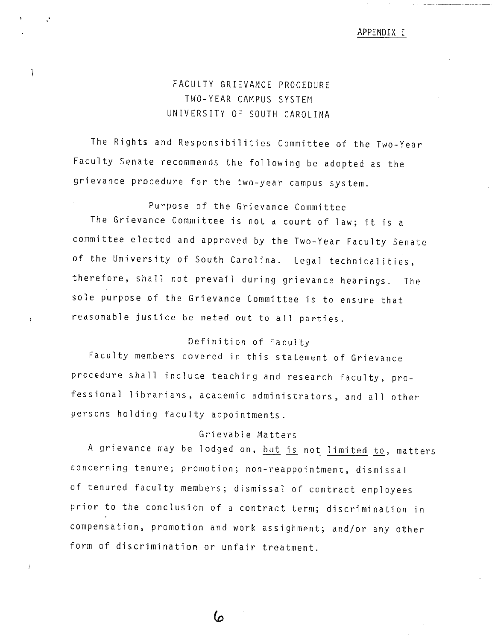#### APPENDIX I

# FACULTY GRIEVANCE PROCEDURE TWO-YEAR CAMPUS SYSTEM UNIVERSITY OF SOUTH CAROLINA

Ì

The Rights and Responsibilities Committee of the Two-Year Faculty Senate recommends the following be adopted as the grievance procedure for the two-year campus system.

Purpose of the Grievance Committee The Grievance Committee is not a court of law; it is <sup>a</sup> committee elected and approved by the Two-Year Faculty Senate of the University of South Carolina. Legal technicalities, therefore, shall not prevail during grievance hearings. The sole purpose of the Grievance Committee is to ensure that reasonable justice be meted out to all parties.

## Definition of Faculty

Faculty members covered in this statement of Grievance procedure shall include teaching and research faculty, professional librarians, academic administrators, and all other persons holding faculty appointments.

### Grievable Matters

A grievance may be lodged on, but is not limited to, matters concerning tenure; promotion; non-reappointment, dismissal of tenured faculty members; dismissal of contract employees prior to the conclusion of a contract term; discrimination in compensation, promotion and work assighment; and/or any other form of discrimination or unfair treatment.

6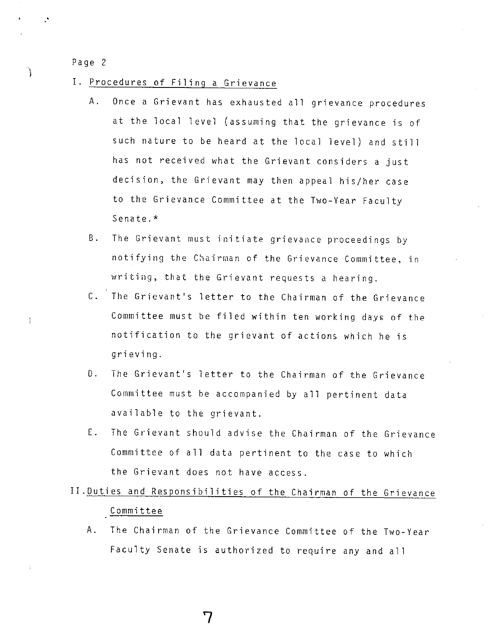- I. Procedures of Filing a Grievance
	- A. Once a Grievant has exhausted all grievance procedures at the local level (assuming that the grievance is of such nature to be heard at the local level) and still has not received what the Grievant considers a just decision, the Grievant may then appeal his/her case to the Grievance Committee at the Two-Year Faculty Senate.\*
	- B. The Grievant must initiate grievance proceedings by notifying the Chairman of the Grievance Committee, in writing, that the Grievant requests a hearing.
	- C. The Grievant's letter to the Chairman of the Grievance Committee must be filed within ten working days of the notification to the grievant of actions which he is grieving.
	- 0. The Grievant's letter to the Chairman of the Grievance Committee must be accompanied by all pertinent data available to the grievant.
	- E. The Grievant should advise the Chairman of the Grievance Committee of all data pertinent to the case to which the Grievant does not have access.

# II.Duties and Responsibilities of the Chairman of the Grievance Committee

A. The Chairman of the Grievance Committee of the Two-Year Faculty Senate is authorized to require any and all

7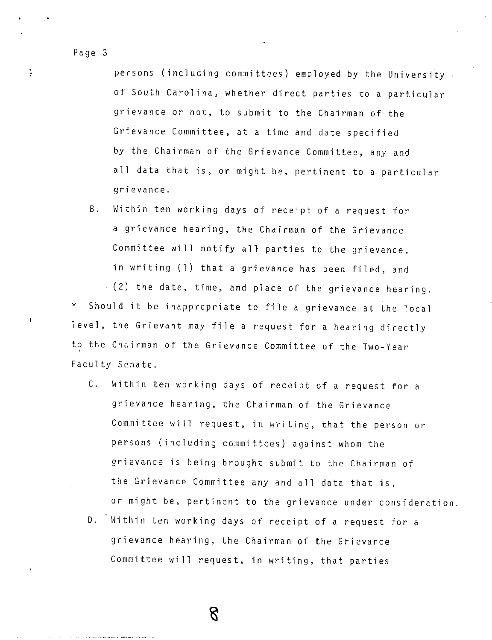)

 $\left| \right|$ 

persons (including committees) employed by the University of South Carolina, whether direct parties to a particular grievance or not, to submit to the Chairman of the Grievance Committee, at a time and date specified by the Chairman of the Grievance Committee, any and all data that is, or might be, pertinent to a particular grievance.

B. Within ten working days of receipt of a request for a grievance hearing, the Chairman of the Grievance Committee will notify all parties to the grievance, in writing (l) that a grievance has been filed, and

\*  $(2)$  the date, time, and place of the grievance hearing. Should it be inappropriate to file a grievance at the local level, the Grievant may file a request for a hearing directly to the Chairman of the Grievance Committee of the Two-Year Faculty Senate.

- C. Within ten working days of receipt of a request for a grievance hearing, the Chairman of the Grievance Committee will request, in writing, that the person or persons (including committees) against whom the grievance is being brought submit to the Chairman of the Grievance Committee any and all data that is, or might be, pertinent to the grievance under consideration.
- D. Within ten working days of receipt of a request for a grievance hearing, the Chairman of the Grievance Committee will request, in writing, that parties

 $8^{\circ}$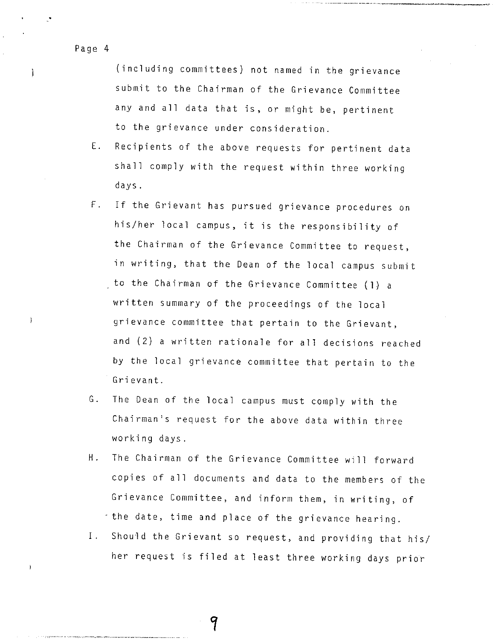ì

 $\overline{\phantom{a}}$ 

(including committees) not named in the grievance submit to the Chairman of the Grievance Committee any and all data that is, or might be, pertinent to the grievance under consideration.

---------.

- E. Recipients of the above requests for pertinent data shall comply with the request within three working days.
- F. If the Grievant has pursued grievance procedures on his/her local campus, it is the responsibility of the Chairman of the Grievance Committee to request, in writing, that the Dean of the local campus submit to the Chairman of the Grievance Committee (1) <sup>a</sup> written summary of the proceedings of the local grievance committee that pertain to the Grievant, and (2) a written rationale for all decisions reached by the local grievance committee that pertain to the Grievant.
- G. The Dean of the local campus must comply with the Chairman's request for the above data within three working days.
- H. The Chairman of the Grievance Committee will forward copies of all documents and data to the members of the Grievance Committee, and inform them, in writing, of - the date, time and place of the grievance hearing.
- I. Should the Grievant so request, and providing that his/ her request is filed at least three working days prior

9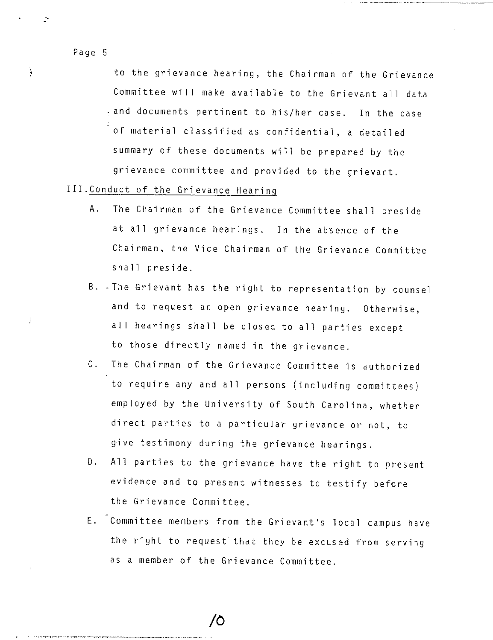to the grievance hearing, the Chairman of the Grievance Committee will make available to the Grievant all data and documents pertinent to his/her case. In the case of material classified as confidential, a detailed summary of these documents will be prepared by the grievance committee and provided to the grievant.

- III.Conduct of the Grievance Hearing
	- A. The Chairman of the Grievance Committee shall preside at all grievance hearings. In the absence of the Chairman, the Vice Chairman of the Grievance Committee shall preside.
	- B. -The Grievant has the right to representation by counsel and to request an open grievance hearing. Otherwise, all hearings shall be closed to all parties except to those directly named in the grievance.
	- C. The Chairman of the Grievance Committee is authorized to require any and all persons (including committees) employed by the University of South Carolina, whether direct parties to a particular grievance or not, to <sup>g</sup>ive testimony during the grievance hearings.
	- D. All parties to the grievance have the right to present evidence and to present witnesses to testify before the Grievance Committee.
	- E. Committee members from the Grievant's local campus have the right to request that they be excused from serving as a member of the Grievance Committee.

 $\prime$ O

Ì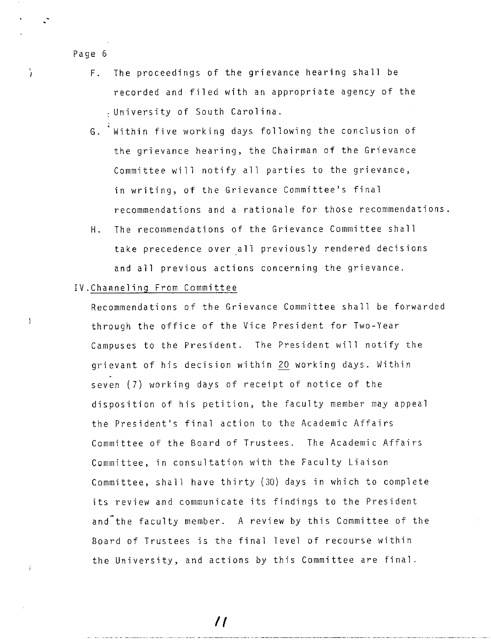à

Ą

- F. The proceedings of the grievance hearing shall be recorded and filed with an appropriate agency of the University of South Carolina.
- G. Within five working days following the conclusion of the grievance hearing, the Chairman of the Grievance Committee will notify all parties to the grievance, in writing, of the Grievance Committee's final recommendations and a rationale for those recommendations.
- H. The recommendations of the Grievance Committee shall take precedence over all previously rendered decisions and all previous actions concerning the grievance.

#### IV.Channeling From Committee

Recommendations of the Grievance Committee shall be forwarded through the office of the Vice President for Two-Year Campuses to the President. The President will notify the grievant of his decision within 20 working days. Within seven (7) working days of receipt of notice of the disposition of his petition, the faculty member may appeal the President's final action to the Academic Affairs Committee of the Board of Trustees. The Academic Affairs Committee, in consultation with the Faculty Liaison Committee, shall have thirty (30) days in which to complete its review and communicate its findings to the President and the faculty member. A review by this Committee of the Board of Trustees is the final level of recourse within the University, and actions by this Committee are final.

//